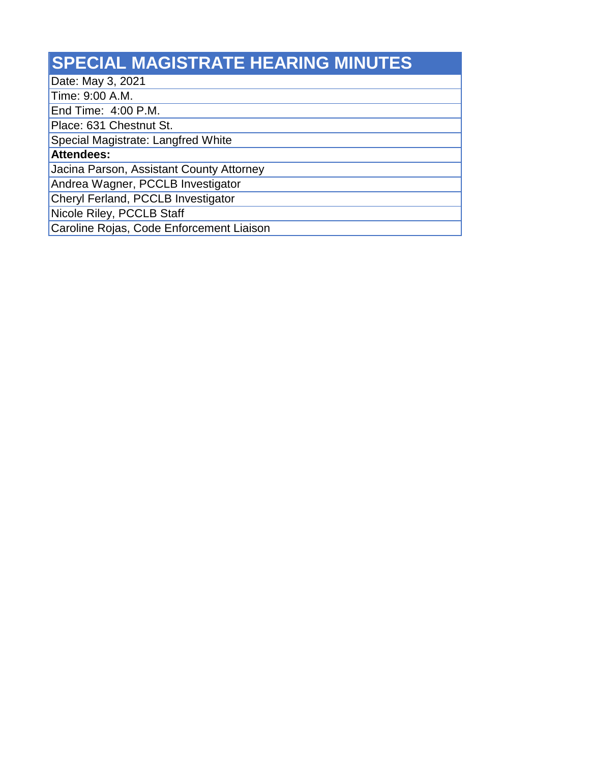## **SPECIAL MAGISTRATE HEARING MINUTES**

Date: May 3, 2021

Time: 9:00 A.M.

End Time: 4:00 P.M.

Place: 631 Chestnut St.

Special Magistrate: Langfred White

**Attendees:**

Jacina Parson, Assistant County Attorney

Andrea Wagner, PCCLB Investigator

Cheryl Ferland, PCCLB Investigator

Nicole Riley, PCCLB Staff

Caroline Rojas, Code Enforcement Liaison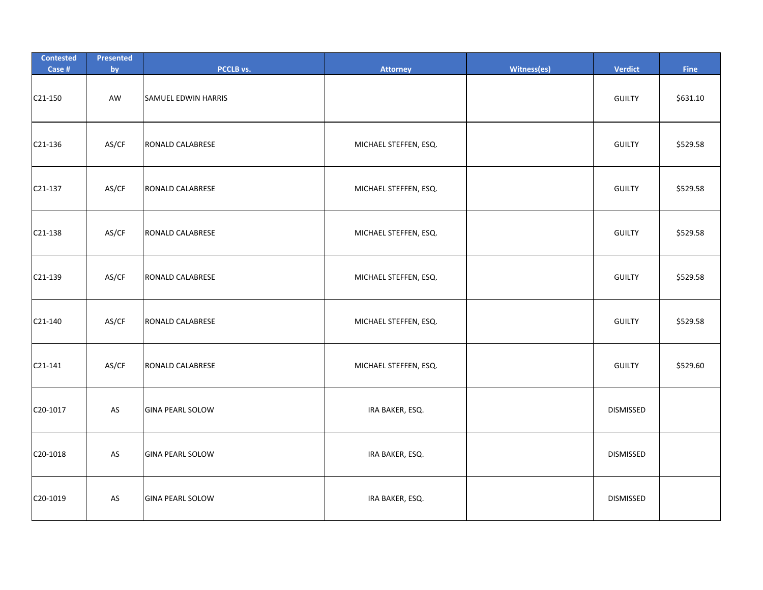| <b>Contested</b><br>Case # | Presented<br>by | PCCLB vs.               | <b>Attorney</b>       | Witness(es) | <b>Verdict</b>   | Fine     |
|----------------------------|-----------------|-------------------------|-----------------------|-------------|------------------|----------|
| C21-150                    | AW              | SAMUEL EDWIN HARRIS     |                       |             | <b>GUILTY</b>    | \$631.10 |
| C21-136                    | AS/CF           | RONALD CALABRESE        | MICHAEL STEFFEN, ESQ. |             | <b>GUILTY</b>    | \$529.58 |
| C21-137                    | AS/CF           | RONALD CALABRESE        | MICHAEL STEFFEN, ESQ. |             | <b>GUILTY</b>    | \$529.58 |
| C21-138                    | AS/CF           | <b>RONALD CALABRESE</b> | MICHAEL STEFFEN, ESQ. |             | <b>GUILTY</b>    | \$529.58 |
| C21-139                    | AS/CF           | RONALD CALABRESE        | MICHAEL STEFFEN, ESQ. |             | <b>GUILTY</b>    | \$529.58 |
| C21-140                    | AS/CF           | RONALD CALABRESE        | MICHAEL STEFFEN, ESQ. |             | <b>GUILTY</b>    | \$529.58 |
| C21-141                    | AS/CF           | RONALD CALABRESE        | MICHAEL STEFFEN, ESQ. |             | <b>GUILTY</b>    | \$529.60 |
| C20-1017                   | AS              | <b>GINA PEARL SOLOW</b> | IRA BAKER, ESQ.       |             | <b>DISMISSED</b> |          |
| C20-1018                   | AS              | <b>GINA PEARL SOLOW</b> | IRA BAKER, ESQ.       |             | <b>DISMISSED</b> |          |
| C20-1019                   | AS              | <b>GINA PEARL SOLOW</b> | IRA BAKER, ESQ.       |             | <b>DISMISSED</b> |          |